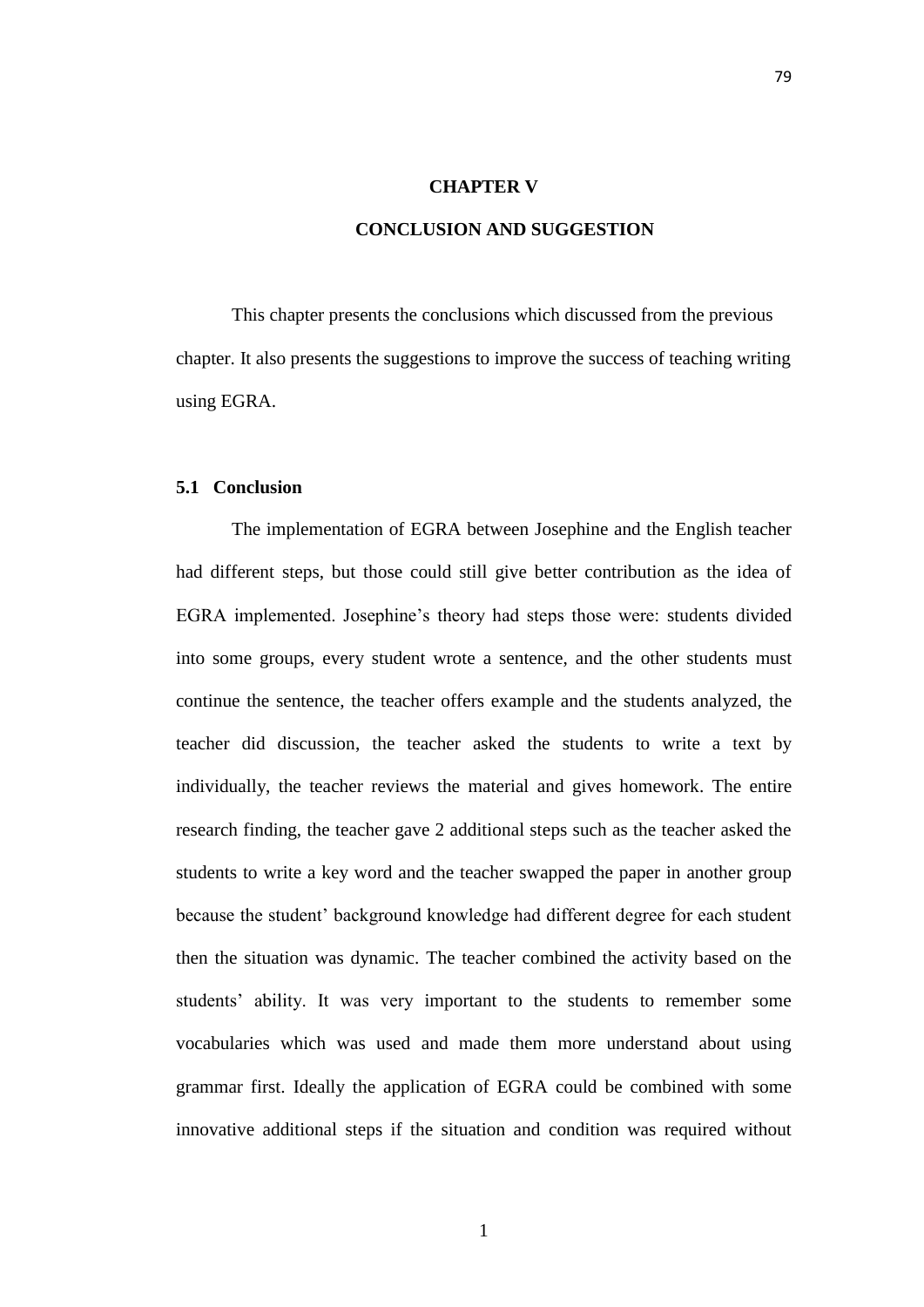### **CHAPTER V**

# **CONCLUSION AND SUGGESTION**

This chapter presents the conclusions which discussed from the previous chapter. It also presents the suggestions to improve the success of teaching writing using EGRA.

## **5.1 Conclusion**

The implementation of EGRA between Josephine and the English teacher had different steps, but those could still give better contribution as the idea of EGRA implemented. Josephine's theory had steps those were: students divided into some groups, every student wrote a sentence, and the other students must continue the sentence, the teacher offers example and the students analyzed, the teacher did discussion, the teacher asked the students to write a text by individually, the teacher reviews the material and gives homework. The entire research finding, the teacher gave 2 additional steps such as the teacher asked the students to write a key word and the teacher swapped the paper in another group because the student' background knowledge had different degree for each student then the situation was dynamic. The teacher combined the activity based on the students' ability. It was very important to the students to remember some vocabularies which was used and made them more understand about using grammar first. Ideally the application of EGRA could be combined with some innovative additional steps if the situation and condition was required without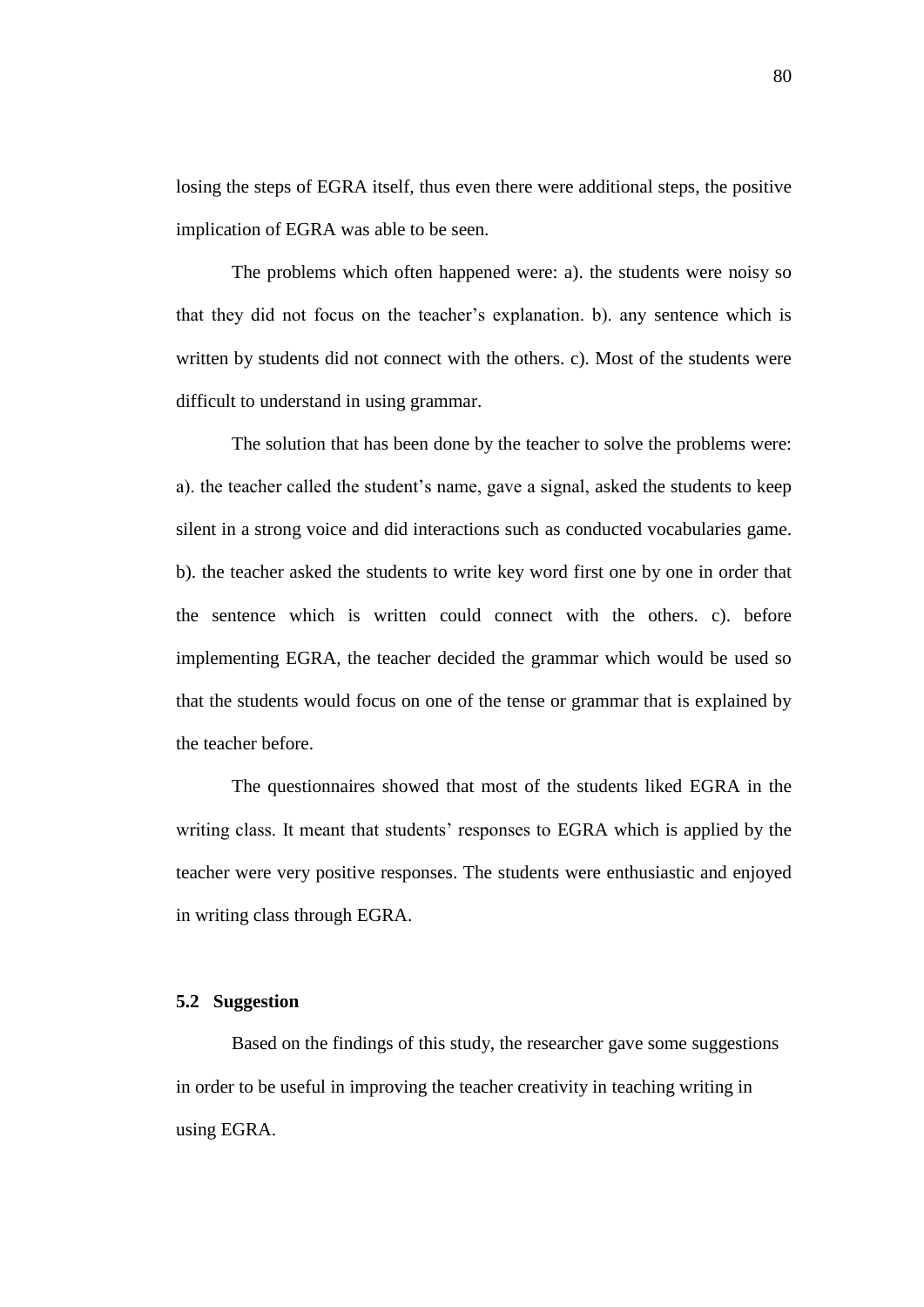losing the steps of EGRA itself, thus even there were additional steps, the positive implication of EGRA was able to be seen.

The problems which often happened were: a). the students were noisy so that they did not focus on the teacher's explanation. b). any sentence which is written by students did not connect with the others. c). Most of the students were difficult to understand in using grammar.

The solution that has been done by the teacher to solve the problems were: a). the teacher called the student's name, gave a signal, asked the students to keep silent in a strong voice and did interactions such as conducted vocabularies game. b). the teacher asked the students to write key word first one by one in order that the sentence which is written could connect with the others. c). before implementing EGRA, the teacher decided the grammar which would be used so that the students would focus on one of the tense or grammar that is explained by the teacher before.

The questionnaires showed that most of the students liked EGRA in the writing class. It meant that students' responses to EGRA which is applied by the teacher were very positive responses. The students were enthusiastic and enjoyed in writing class through EGRA.

### **5.2 Suggestion**

Based on the findings of this study, the researcher gave some suggestions in order to be useful in improving the teacher creativity in teaching writing in using EGRA.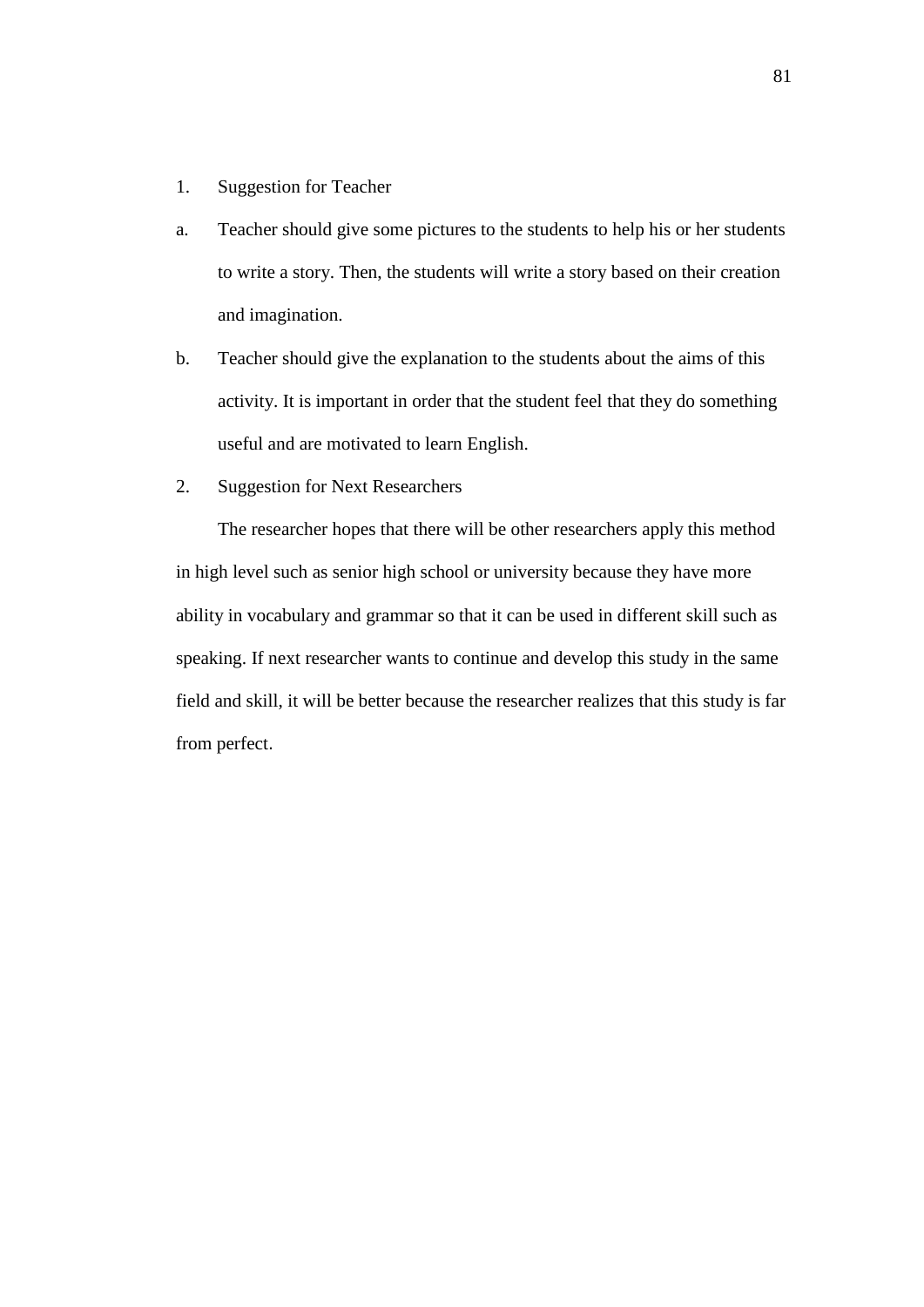- 1. Suggestion for Teacher
- a. Teacher should give some pictures to the students to help his or her students to write a story. Then, the students will write a story based on their creation and imagination.
- b. Teacher should give the explanation to the students about the aims of this activity. It is important in order that the student feel that they do something useful and are motivated to learn English.
- 2. Suggestion for Next Researchers

The researcher hopes that there will be other researchers apply this method in high level such as senior high school or university because they have more ability in vocabulary and grammar so that it can be used in different skill such as speaking. If next researcher wants to continue and develop this study in the same field and skill, it will be better because the researcher realizes that this study is far from perfect.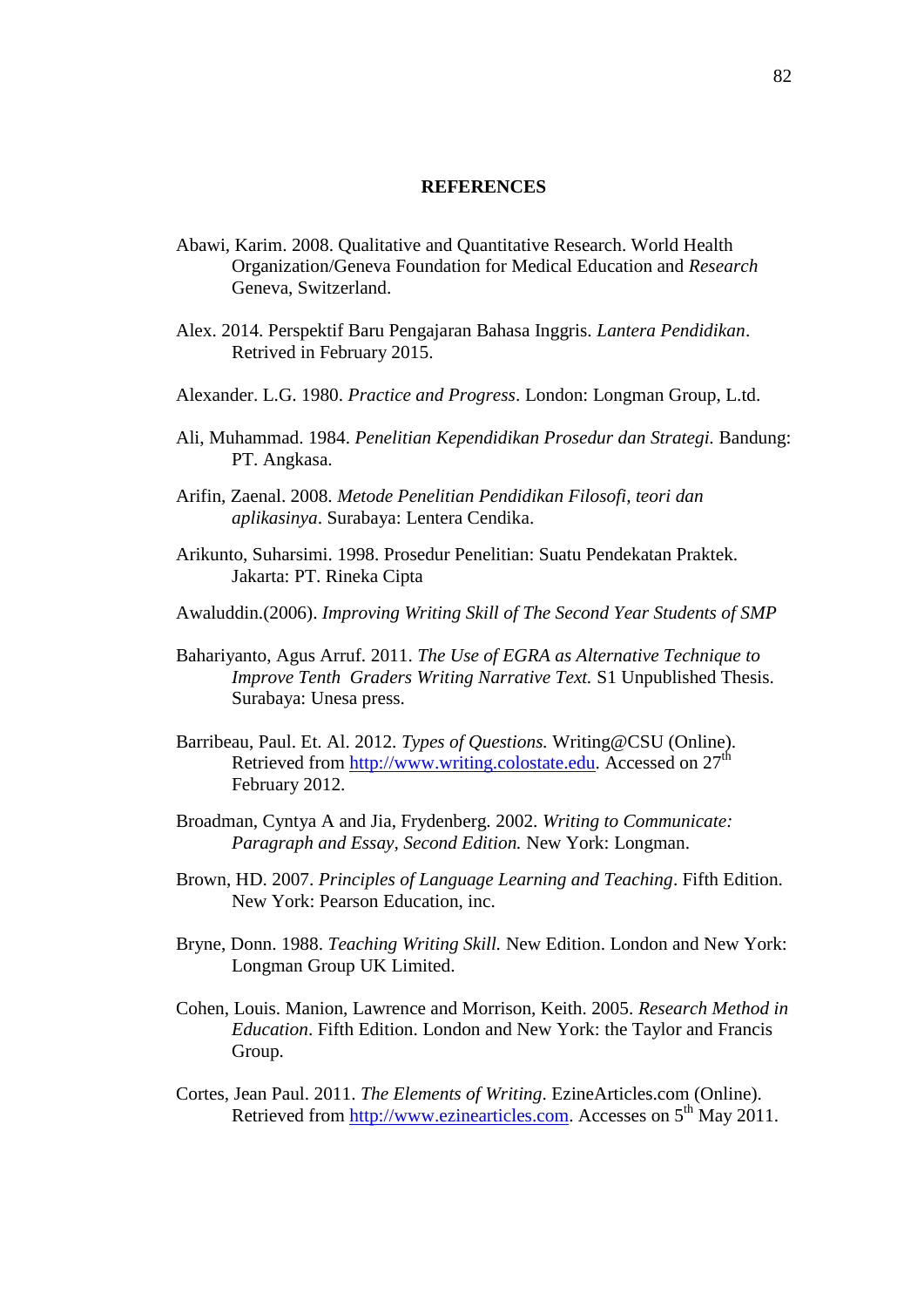### **REFERENCES**

- Abawi, Karim. 2008. Qualitative and Quantitative Research. World Health Organization/Geneva Foundation for Medical Education and *Research*  Geneva, Switzerland.
- Alex. 2014. Perspektif Baru Pengajaran Bahasa Inggris. *Lantera Pendidikan*. Retrived in February 2015.
- Alexander. L.G. 1980. *Practice and Progress*. London: Longman Group, L.td.
- Ali, Muhammad. 1984. *Penelitian Kependidikan Prosedur dan Strategi.* Bandung: PT. Angkasa.
- Arifin, Zaenal. 2008. *Metode Penelitian Pendidikan Filosofi, teori dan aplikasinya*. Surabaya: Lentera Cendika.
- Arikunto, Suharsimi. 1998. Prosedur Penelitian: Suatu Pendekatan Praktek. Jakarta: PT. Rineka Cipta
- Awaluddin.(2006). *Improving Writing Skill of The Second Year Students of SMP*
- Bahariyanto, Agus Arruf. 2011. *The Use of EGRA as Alternative Technique to Improve Tenth Graders Writing Narrative Text.* S1 Unpublished Thesis. Surabaya: Unesa press.
- Barribeau, Paul. Et. Al. 2012. *Types of Questions.* Writing@CSU (Online). Retrieved from [http://www.writing.colostate.edu.](http://www.writing.colostate.edu/) Accessed on 27<sup>th</sup> February 2012.
- Broadman, Cyntya A and Jia, Frydenberg. 2002. *Writing to Communicate: Paragraph and Essay, Second Edition.* New York: Longman.
- Brown, HD. 2007. *Principles of Language Learning and Teaching*. Fifth Edition. New York: Pearson Education, inc.
- Bryne, Donn. 1988. *Teaching Writing Skill.* New Edition. London and New York: Longman Group UK Limited.
- Cohen, Louis. Manion, Lawrence and Morrison, Keith. 2005. *Research Method in Education*. Fifth Edition. London and New York: the Taylor and Francis Group.
- Cortes, Jean Paul. 2011. *The Elements of Writing*. EzineArticles.com (Online). Retrieved from [http://www.ezinearticles.com.](http://www.ezinearticles.com/) Accesses on 5<sup>th</sup> May 2011.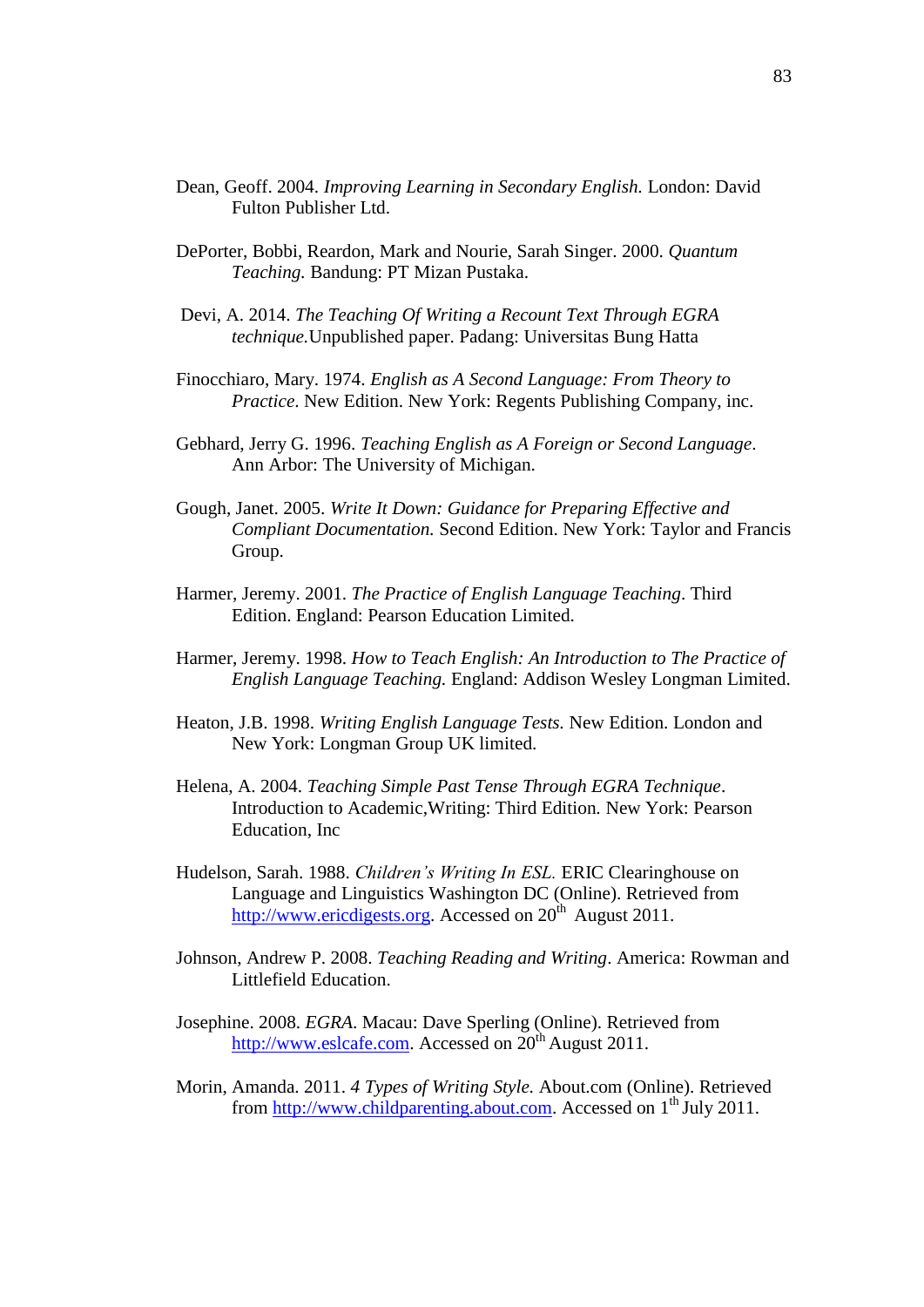- Dean, Geoff. 2004. *Improving Learning in Secondary English.* London: David Fulton Publisher Ltd.
- DePorter, Bobbi, Reardon, Mark and Nourie, Sarah Singer. 2000. *Quantum Teaching.* Bandung: PT Mizan Pustaka.
- Devi, A. 2014. *The Teaching Of Writing a Recount Text Through EGRA technique.*Unpublished paper. Padang: Universitas Bung Hatta
- Finocchiaro, Mary. 1974. *English as A Second Language: From Theory to Practice*. New Edition. New York: Regents Publishing Company, inc.
- Gebhard, Jerry G. 1996. *Teaching English as A Foreign or Second Language*. Ann Arbor: The University of Michigan.
- Gough, Janet. 2005. *Write It Down: Guidance for Preparing Effective and Compliant Documentation.* Second Edition. New York: Taylor and Francis Group.
- Harmer, Jeremy. 2001. *The Practice of English Language Teaching*. Third Edition. England: Pearson Education Limited.
- Harmer, Jeremy. 1998. *How to Teach English: An Introduction to The Practice of English Language Teaching.* England: Addison Wesley Longman Limited.
- Heaton, J.B. 1998. *Writing English Language Tests.* New Edition. London and New York: Longman Group UK limited.
- Helena, A. 2004. *Teaching Simple Past Tense Through EGRA Technique*. Introduction to Academic,Writing: Third Edition*.* New York: Pearson Education, Inc
- Hudelson, Sarah. 1988. *Children's Writing In ESL.* ERIC Clearinghouse on Language and Linguistics Washington DC (Online). Retrieved from [http://www.ericdigests.org.](http://www.ericdigests.org/) Accessed on  $20<sup>th</sup>$  August 2011.
- Johnson, Andrew P. 2008. *Teaching Reading and Writing*. America: Rowman and Littlefield Education.
- Josephine. 2008. *EGRA*. Macau: Dave Sperling (Online). Retrieved from [http://www.eslcafe.com.](http://www.eslcafe.com/) Accessed on  $20^{th}$  August 2011.
- Morin, Amanda. 2011. *4 Types of Writing Style.* About.com (Online). Retrieved from [http://www.childparenting.about.com.](http://www.childparenting.about.com/) Accessed on 1<sup>th</sup> July 2011.